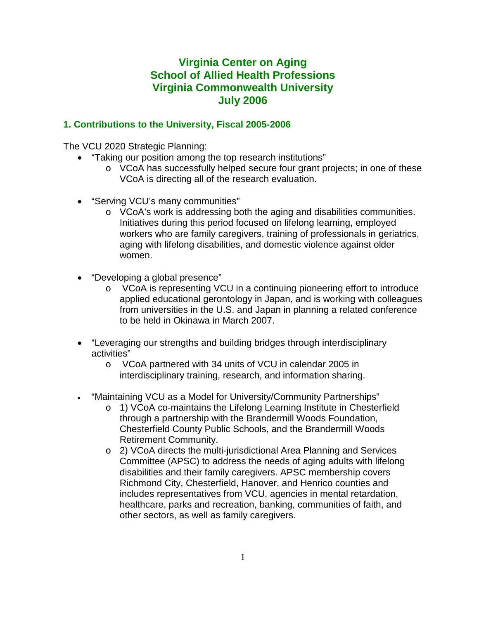# **Virginia Center on Aging School of Allied Health Professions Virginia Commonwealth University July 2006**

### **1. Contributions to the University, Fiscal 2005-2006**

The VCU 2020 Strategic Planning:

- "Taking our position among the top research institutions"
	- $\circ$  VCoA has successfully helped secure four grant projects; in one of these VCoA is directing all of the research evaluation.
- "Serving VCU's many communities"
	- o VCoA's work is addressing both the aging and disabilities communities. Initiatives during this period focused on lifelong learning, employed workers who are family caregivers, training of professionals in geriatrics, aging with lifelong disabilities, and domestic violence against older women.
- "Developing a global presence"
	- o VCoA is representing VCU in a continuing pioneering effort to introduce applied educational gerontology in Japan, and is working with colleagues from universities in the U.S. and Japan in planning a related conference to be held in Okinawa in March 2007.
- "Leveraging our strengths and building bridges through interdisciplinary activities"
	- o VCoA partnered with 34 units of VCU in calendar 2005 in interdisciplinary training, research, and information sharing.
- "Maintaining VCU as a Model for University/Community Partnerships"
	- o 1) VCoA co-maintains the Lifelong Learning Institute in Chesterfield through a partnership with the Brandermill Woods Foundation, Chesterfield County Public Schools, and the Brandermill Woods Retirement Community.
	- o 2) VCoA directs the multi-jurisdictional Area Planning and Services Committee (APSC) to address the needs of aging adults with lifelong disabilities and their family caregivers. APSC membership covers Richmond City, Chesterfield, Hanover, and Henrico counties and includes representatives from VCU, agencies in mental retardation, healthcare, parks and recreation, banking, communities of faith, and other sectors, as well as family caregivers.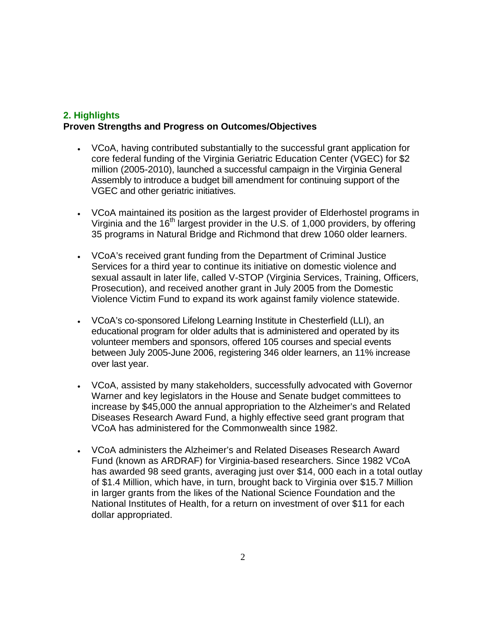### **2. Highlights Proven Strengths and Progress on Outcomes/Objectives**

- VCoA, having contributed substantially to the successful grant application for core federal funding of the Virginia Geriatric Education Center (VGEC) for \$2 million (2005-2010), launched a successful campaign in the Virginia General Assembly to introduce a budget bill amendment for continuing support of the VGEC and other geriatric initiatives.
- VCoA maintained its position as the largest provider of Elderhostel programs in Virginia and the  $16<sup>th</sup>$  largest provider in the U.S. of 1,000 providers, by offering 35 programs in Natural Bridge and Richmond that drew 1060 older learners.
- VCoA's received grant funding from the Department of Criminal Justice Services for a third year to continue its initiative on domestic violence and sexual assault in later life, called V-STOP (Virginia Services, Training, Officers, Prosecution), and received another grant in July 2005 from the Domestic Violence Victim Fund to expand its work against family violence statewide.
- VCoA's co-sponsored Lifelong Learning Institute in Chesterfield (LLI), an educational program for older adults that is administered and operated by its volunteer members and sponsors, offered 105 courses and special events between July 2005-June 2006, registering 346 older learners, an 11% increase over last year.
- VCoA, assisted by many stakeholders, successfully advocated with Governor Warner and key legislators in the House and Senate budget committees to increase by \$45,000 the annual appropriation to the Alzheimer's and Related Diseases Research Award Fund, a highly effective seed grant program that VCoA has administered for the Commonwealth since 1982.
- VCoA administers the Alzheimer's and Related Diseases Research Award Fund (known as ARDRAF) for Virginia-based researchers. Since 1982 VCoA has awarded 98 seed grants, averaging just over \$14, 000 each in a total outlay of \$1.4 Million, which have, in turn, brought back to Virginia over \$15.7 Million in larger grants from the likes of the National Science Foundation and the National Institutes of Health, for a return on investment of over \$11 for each dollar appropriated.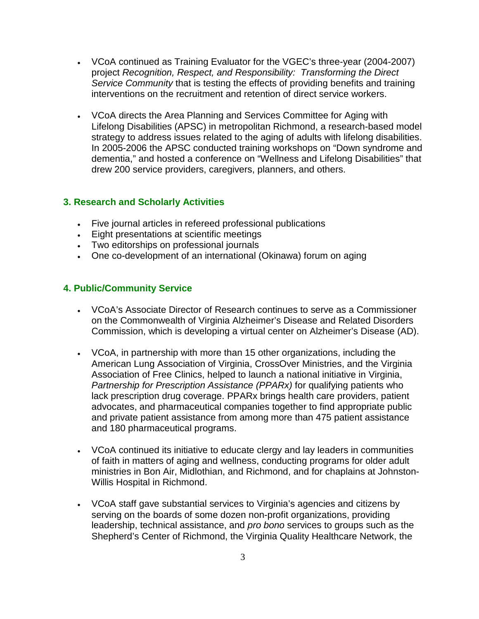- VCoA continued as Training Evaluator for the VGEC's three-year (2004-2007) project *Recognition, Respect, and Responsibility: Transforming the Direct Service Community* that is testing the effects of providing benefits and training interventions on the recruitment and retention of direct service workers.
- VCoA directs the Area Planning and Services Committee for Aging with Lifelong Disabilities (APSC) in metropolitan Richmond, a research-based model strategy to address issues related to the aging of adults with lifelong disabilities. In 2005-2006 the APSC conducted training workshops on "Down syndrome and dementia," and hosted a conference on "Wellness and Lifelong Disabilities" that drew 200 service providers, caregivers, planners, and others.

#### **3. Research and Scholarly Activities**

- Five journal articles in refereed professional publications
- Eight presentations at scientific meetings
- Two editorships on professional journals
- One co-development of an international (Okinawa) forum on aging

#### **4. Public/Community Service**

- VCoA's Associate Director of Research continues to serve as a Commissioner on the Commonwealth of Virginia Alzheimer's Disease and Related Disorders Commission, which is developing a virtual center on Alzheimer's Disease (AD).
- VCoA, in partnership with more than 15 other organizations, including the American Lung Association of Virginia, CrossOver Ministries, and the Virginia Association of Free Clinics, helped to launch a national initiative in Virginia, *Partnership for Prescription Assistance (PPARx)* for qualifying patients who lack prescription drug coverage. PPARx brings health care providers, patient advocates, and pharmaceutical companies together to find appropriate public and private patient assistance from among more than 475 patient assistance and 180 pharmaceutical programs.
- VCoA continued its initiative to educate clergy and lay leaders in communities of faith in matters of aging and wellness, conducting programs for older adult ministries in Bon Air, Midlothian, and Richmond, and for chaplains at Johnston-Willis Hospital in Richmond.
- VCoA staff gave substantial services to Virginia's agencies and citizens by serving on the boards of some dozen non-profit organizations, providing leadership, technical assistance, and *pro bono* services to groups such as the Shepherd's Center of Richmond, the Virginia Quality Healthcare Network, the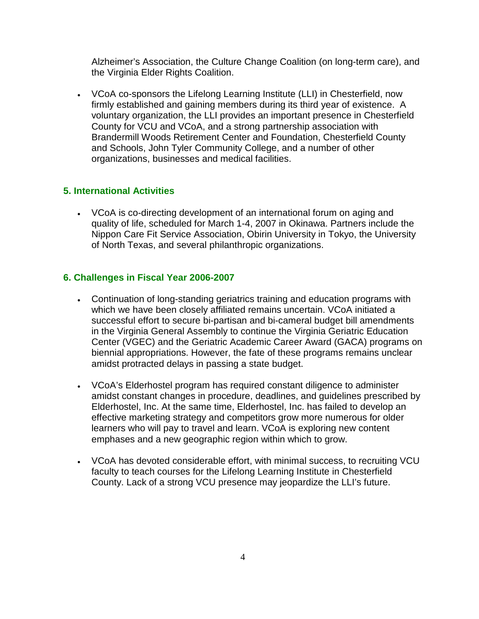Alzheimer's Association, the Culture Change Coalition (on long-term care), and the Virginia Elder Rights Coalition.

• VCoA co-sponsors the Lifelong Learning Institute (LLI) in Chesterfield, now firmly established and gaining members during its third year of existence. A voluntary organization, the LLI provides an important presence in Chesterfield County for VCU and VCoA, and a strong partnership association with Brandermill Woods Retirement Center and Foundation, Chesterfield County and Schools, John Tyler Community College, and a number of other organizations, businesses and medical facilities.

#### **5. International Activities**

• VCoA is co-directing development of an international forum on aging and quality of life, scheduled for March 1-4, 2007 in Okinawa. Partners include the Nippon Care Fit Service Association, Obirin University in Tokyo, the University of North Texas, and several philanthropic organizations.

#### **6. Challenges in Fiscal Year 2006-2007**

- Continuation of long-standing geriatrics training and education programs with which we have been closely affiliated remains uncertain. VCoA initiated a successful effort to secure bi-partisan and bi-cameral budget bill amendments in the Virginia General Assembly to continue the Virginia Geriatric Education Center (VGEC) and the Geriatric Academic Career Award (GACA) programs on biennial appropriations. However, the fate of these programs remains unclear amidst protracted delays in passing a state budget.
- VCoA's Elderhostel program has required constant diligence to administer amidst constant changes in procedure, deadlines, and guidelines prescribed by Elderhostel, Inc. At the same time, Elderhostel, Inc. has failed to develop an effective marketing strategy and competitors grow more numerous for older learners who will pay to travel and learn. VCoA is exploring new content emphases and a new geographic region within which to grow.
- VCoA has devoted considerable effort, with minimal success, to recruiting VCU faculty to teach courses for the Lifelong Learning Institute in Chesterfield County. Lack of a strong VCU presence may jeopardize the LLI's future.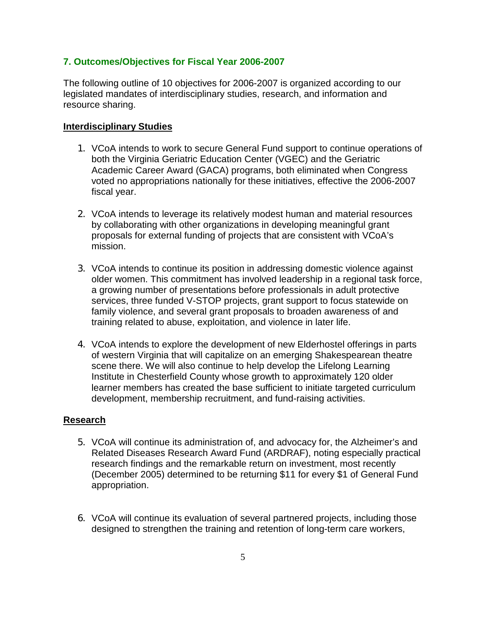#### **7. Outcomes/Objectives for Fiscal Year 2006-2007**

The following outline of 10 objectives for 2006-2007 is organized according to our legislated mandates of interdisciplinary studies, research, and information and resource sharing.

#### **Interdisciplinary Studies**

- 1. VCoA intends to work to secure General Fund support to continue operations of both the Virginia Geriatric Education Center (VGEC) and the Geriatric Academic Career Award (GACA) programs, both eliminated when Congress voted no appropriations nationally for these initiatives, effective the 2006-2007 fiscal year.
- 2. VCoA intends to leverage its relatively modest human and material resources by collaborating with other organizations in developing meaningful grant proposals for external funding of projects that are consistent with VCoA's mission.
- 3. VCoA intends to continue its position in addressing domestic violence against older women. This commitment has involved leadership in a regional task force, a growing number of presentations before professionals in adult protective services, three funded V-STOP projects, grant support to focus statewide on family violence, and several grant proposals to broaden awareness of and training related to abuse, exploitation, and violence in later life.
- 4. VCoA intends to explore the development of new Elderhostel offerings in parts of western Virginia that will capitalize on an emerging Shakespearean theatre scene there. We will also continue to help develop the Lifelong Learning Institute in Chesterfield County whose growth to approximately 120 older learner members has created the base sufficient to initiate targeted curriculum development, membership recruitment, and fund-raising activities.

#### **Research**

- 5. VCoA will continue its administration of, and advocacy for, the Alzheimer's and Related Diseases Research Award Fund (ARDRAF), noting especially practical research findings and the remarkable return on investment, most recently (December 2005) determined to be returning \$11 for every \$1 of General Fund appropriation.
- 6. VCoA will continue its evaluation of several partnered projects, including those designed to strengthen the training and retention of long-term care workers,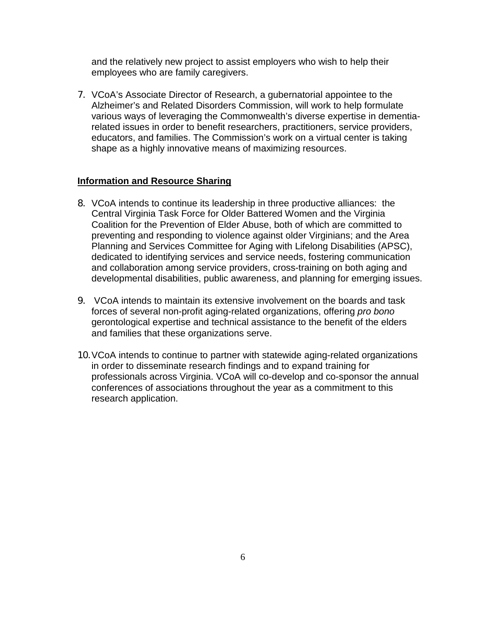and the relatively new project to assist employers who wish to help their employees who are family caregivers.

7. VCoA's Associate Director of Research, a gubernatorial appointee to the Alzheimer's and Related Disorders Commission, will work to help formulate various ways of leveraging the Commonwealth's diverse expertise in dementiarelated issues in order to benefit researchers, practitioners, service providers, educators, and families. The Commission's work on a virtual center is taking shape as a highly innovative means of maximizing resources.

#### **Information and Resource Sharing**

- 8. VCoA intends to continue its leadership in three productive alliances: the Central Virginia Task Force for Older Battered Women and the Virginia Coalition for the Prevention of Elder Abuse, both of which are committed to preventing and responding to violence against older Virginians; and the Area Planning and Services Committee for Aging with Lifelong Disabilities (APSC), dedicated to identifying services and service needs, fostering communication and collaboration among service providers, cross-training on both aging and developmental disabilities, public awareness, and planning for emerging issues.
- 9. VCoA intends to maintain its extensive involvement on the boards and task forces of several non-profit aging-related organizations, offering *pro bono* gerontological expertise and technical assistance to the benefit of the elders and families that these organizations serve.
- 10.VCoA intends to continue to partner with statewide aging-related organizations in order to disseminate research findings and to expand training for professionals across Virginia. VCoA will co-develop and co-sponsor the annual conferences of associations throughout the year as a commitment to this research application.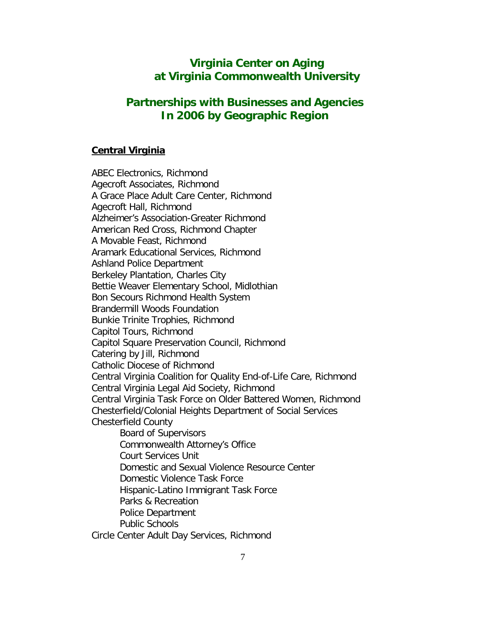# **Virginia Center on Aging at Virginia Commonwealth University**

# **Partnerships with Businesses and Agencies In 2006 by Geographic Region**

#### **Central Virginia**

ABEC Electronics, Richmond Agecroft Associates, Richmond A Grace Place Adult Care Center, Richmond Agecroft Hall, Richmond Alzheimer's Association-Greater Richmond American Red Cross, Richmond Chapter A Movable Feast, Richmond Aramark Educational Services, Richmond Ashland Police Department Berkeley Plantation, Charles City Bettie Weaver Elementary School, Midlothian Bon Secours Richmond Health System Brandermill Woods Foundation Bunkie Trinite Trophies, Richmond Capitol Tours, Richmond Capitol Square Preservation Council, Richmond Catering by Jill, Richmond Catholic Diocese of Richmond Central Virginia Coalition for Quality End-of-Life Care, Richmond Central Virginia Legal Aid Society, Richmond Central Virginia Task Force on Older Battered Women, Richmond Chesterfield/Colonial Heights Department of Social Services Chesterfield County Board of Supervisors Commonwealth Attorney's Office Court Services Unit Domestic and Sexual Violence Resource Center Domestic Violence Task Force Hispanic-Latino Immigrant Task Force Parks & Recreation Police Department Public Schools Circle Center Adult Day Services, Richmond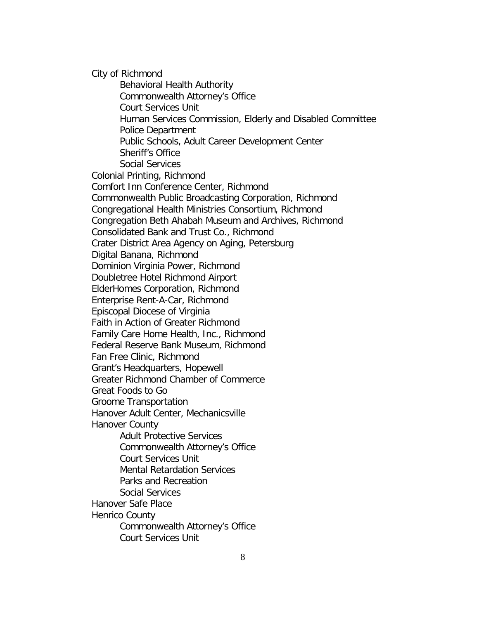City of Richmond Behavioral Health Authority Commonwealth Attorney's Office Court Services Unit Human Services Commission, Elderly and Disabled Committee Police Department Public Schools, Adult Career Development Center Sheriff's Office Social Services Colonial Printing, Richmond Comfort Inn Conference Center, Richmond Commonwealth Public Broadcasting Corporation, Richmond Congregational Health Ministries Consortium, Richmond Congregation Beth Ahabah Museum and Archives, Richmond Consolidated Bank and Trust Co., Richmond Crater District Area Agency on Aging, Petersburg Digital Banana, Richmond Dominion Virginia Power, Richmond Doubletree Hotel Richmond Airport ElderHomes Corporation, Richmond Enterprise Rent-A-Car, Richmond Episcopal Diocese of Virginia Faith in Action of Greater Richmond Family Care Home Health, Inc., Richmond Federal Reserve Bank Museum, Richmond Fan Free Clinic, Richmond Grant's Headquarters, Hopewell Greater Richmond Chamber of Commerce Great Foods to Go Groome Transportation Hanover Adult Center, Mechanicsville Hanover County Adult Protective Services Commonwealth Attorney's Office Court Services Unit Mental Retardation Services Parks and Recreation Social Services Hanover Safe Place Henrico County Commonwealth Attorney's Office Court Services Unit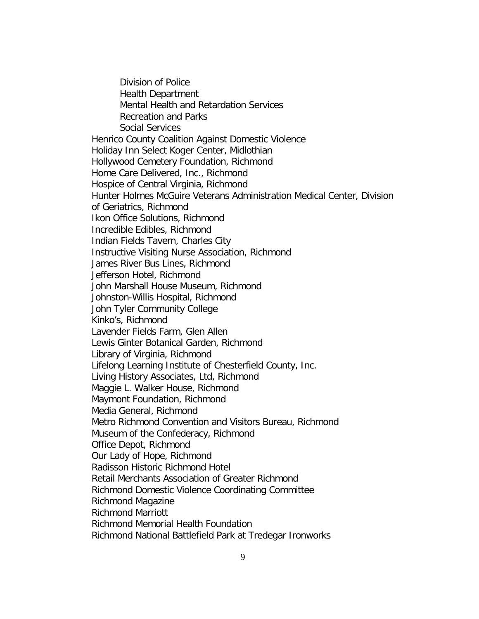Division of Police Health Department Mental Health and Retardation Services Recreation and Parks Social Services Henrico County Coalition Against Domestic Violence Holiday Inn Select Koger Center, Midlothian Hollywood Cemetery Foundation, Richmond Home Care Delivered, Inc., Richmond Hospice of Central Virginia, Richmond Hunter Holmes McGuire Veterans Administration Medical Center, Division of Geriatrics, Richmond Ikon Office Solutions, Richmond Incredible Edibles, Richmond Indian Fields Tavern, Charles City Instructive Visiting Nurse Association, Richmond James River Bus Lines, Richmond Jefferson Hotel, Richmond John Marshall House Museum, Richmond Johnston-Willis Hospital, Richmond John Tyler Community College Kinko's, Richmond Lavender Fields Farm, Glen Allen Lewis Ginter Botanical Garden, Richmond Library of Virginia, Richmond Lifelong Learning Institute of Chesterfield County, Inc. Living History Associates, Ltd, Richmond Maggie L. Walker House, Richmond Maymont Foundation, Richmond Media General, Richmond Metro Richmond Convention and Visitors Bureau, Richmond Museum of the Confederacy, Richmond Office Depot, Richmond Our Lady of Hope, Richmond Radisson Historic Richmond Hotel Retail Merchants Association of Greater Richmond Richmond Domestic Violence Coordinating Committee Richmond Magazine Richmond Marriott Richmond Memorial Health Foundation Richmond National Battlefield Park at Tredegar Ironworks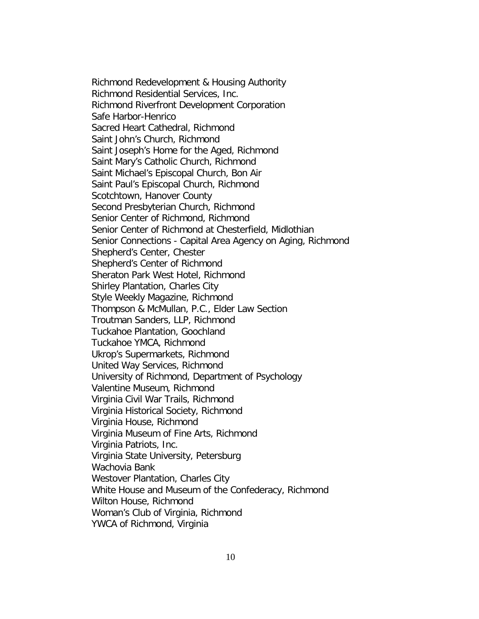Richmond Redevelopment & Housing Authority Richmond Residential Services, Inc. Richmond Riverfront Development Corporation Safe Harbor-Henrico Sacred Heart Cathedral, Richmond Saint John's Church, Richmond Saint Joseph's Home for the Aged, Richmond Saint Mary's Catholic Church, Richmond Saint Michael's Episcopal Church, Bon Air Saint Paul's Episcopal Church, Richmond Scotchtown, Hanover County Second Presbyterian Church, Richmond Senior Center of Richmond, Richmond Senior Center of Richmond at Chesterfield, Midlothian Senior Connections - Capital Area Agency on Aging, Richmond Shepherd's Center, Chester Shepherd's Center of Richmond Sheraton Park West Hotel, Richmond Shirley Plantation, Charles City Style Weekly Magazine, Richmond Thompson & McMullan, P.C., Elder Law Section Troutman Sanders, LLP, Richmond Tuckahoe Plantation, Goochland Tuckahoe YMCA, Richmond Ukrop's Supermarkets, Richmond United Way Services, Richmond University of Richmond, Department of Psychology Valentine Museum, Richmond Virginia Civil War Trails, Richmond Virginia Historical Society, Richmond Virginia House, Richmond Virginia Museum of Fine Arts, Richmond Virginia Patriots, Inc. Virginia State University, Petersburg Wachovia Bank Westover Plantation, Charles City White House and Museum of the Confederacy, Richmond Wilton House, Richmond Woman's Club of Virginia, Richmond YWCA of Richmond, Virginia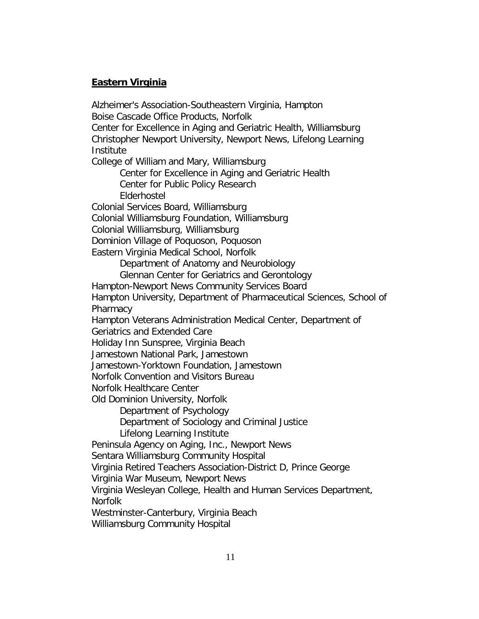## **Eastern Virginia**

Alzheimer's Association-Southeastern Virginia, Hampton Boise Cascade Office Products, Norfolk Center for Excellence in Aging and Geriatric Health, Williamsburg Christopher Newport University, Newport News, Lifelong Learning Institute College of William and Mary, Williamsburg Center for Excellence in Aging and Geriatric Health Center for Public Policy Research Elderhostel Colonial Services Board, Williamsburg Colonial Williamsburg Foundation, Williamsburg Colonial Williamsburg, Williamsburg Dominion Village of Poquoson, Poquoson Eastern Virginia Medical School, Norfolk Department of Anatomy and Neurobiology Glennan Center for Geriatrics and Gerontology Hampton-Newport News Community Services Board Hampton University, Department of Pharmaceutical Sciences, School of **Pharmacy** Hampton Veterans Administration Medical Center, Department of Geriatrics and Extended Care Holiday Inn Sunspree, Virginia Beach Jamestown National Park, Jamestown Jamestown-Yorktown Foundation, Jamestown Norfolk Convention and Visitors Bureau Norfolk Healthcare Center Old Dominion University, Norfolk Department of Psychology Department of Sociology and Criminal Justice Lifelong Learning Institute Peninsula Agency on Aging, Inc., Newport News Sentara Williamsburg Community Hospital Virginia Retired Teachers Association-District D, Prince George Virginia War Museum, Newport News Virginia Wesleyan College, Health and Human Services Department, Norfolk Westminster-Canterbury, Virginia Beach

Williamsburg Community Hospital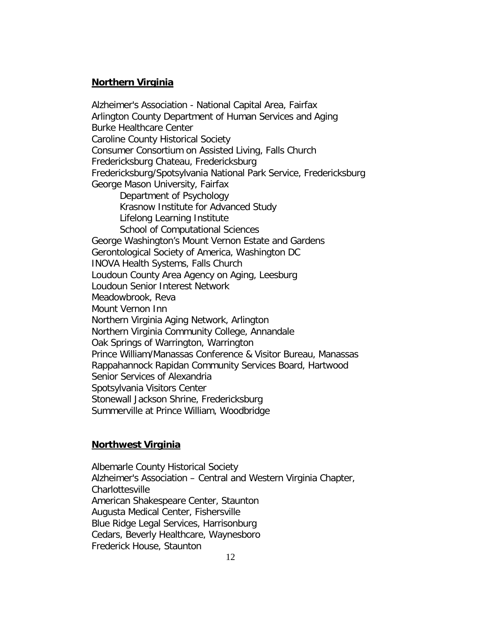### **Northern Virginia**

Fredericksburg/Spotsylvania National Park Service, Fredericksburg George Mason University, Fairfax Department of Psychology Krasnow Institute for Advanced Study Lifelong Learning Institute School of Computational Sciences George Washington's Mount Vernon Estate and Gardens Gerontological Society of America, Washington DC INOVA Health Systems, Falls Church Loudoun County Area Agency on Aging, Leesburg Loudoun Senior Interest Network Meadowbrook, Reva Mount Vernon Inn Northern Virginia Aging Network, Arlington Northern Virginia Community College, Annandale Oak Springs of Warrington, Warrington Prince William/Manassas Conference & Visitor Bureau, Manassas Rappahannock Rapidan Community Services Board, Hartwood Senior Services of Alexandria Spotsylvania Visitors Center Stonewall Jackson Shrine, Fredericksburg Summerville at Prince William, Woodbridge Alzheimer's Association - National Capital Area, Fairfax Arlington County Department of Human Services and Aging Burke Healthcare Center Caroline County Historical Society Consumer Consortium on Assisted Living, Falls Church Fredericksburg Chateau, Fredericksburg

## **Northwest Virginia**

 Albemarle County Historical Society Alzheimer's Association – Central and Western Virginia Chapter, **Charlottesville** American Shakespeare Center, Staunton Augusta Medical Center, Fishersville Blue Ridge Legal Services, Harrisonburg Cedars, Beverly Healthcare, Waynesboro Frederick House, Staunton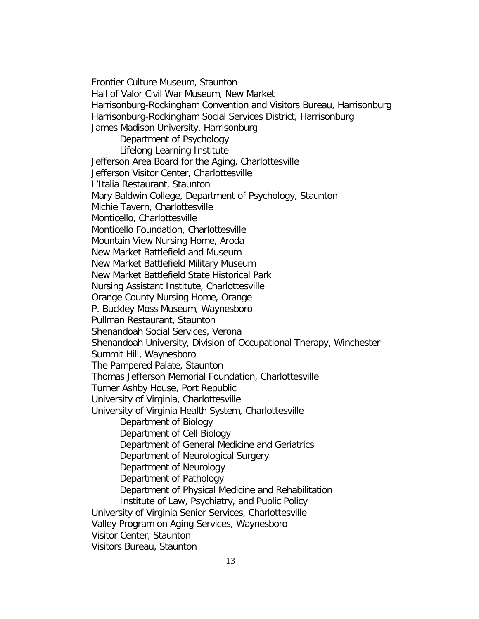Frontier Culture Museum, Staunton Hall of Valor Civil War Museum, New Market Harrisonburg-Rockingham Convention and Visitors Bureau, Harrisonburg Harrisonburg-Rockingham Social Services District, Harrisonburg James Madison University, Harrisonburg Department of Psychology Lifelong Learning Institute Jefferson Area Board for the Aging, Charlottesville Jefferson Visitor Center, Charlottesville L'Italia Restaurant, Staunton Mary Baldwin College, Department of Psychology, Staunton Michie Tavern, Charlottesville Monticello, Charlottesville Monticello Foundation, Charlottesville Mountain View Nursing Home, Aroda New Market Battlefield and Museum New Market Battlefield Military Museum New Market Battlefield State Historical Park Nursing Assistant Institute, Charlottesville Orange County Nursing Home, Orange P. Buckley Moss Museum, Waynesboro Pullman Restaurant, Staunton Shenandoah Social Services, Verona Shenandoah University, Division of Occupational Therapy, Winchester Summit Hill, Waynesboro The Pampered Palate, Staunton Thomas Jefferson Memorial Foundation, Charlottesville Turner Ashby House, Port Republic University of Virginia, Charlottesville University of Virginia Health System, Charlottesville Department of Biology Department of Cell Biology Department of General Medicine and Geriatrics Department of Neurological Surgery Department of Neurology Department of Pathology Department of Physical Medicine and Rehabilitation Institute of Law, Psychiatry, and Public Policy University of Virginia Senior Services, Charlottesville Valley Program on Aging Services, Waynesboro Visitor Center, Staunton Visitors Bureau, Staunton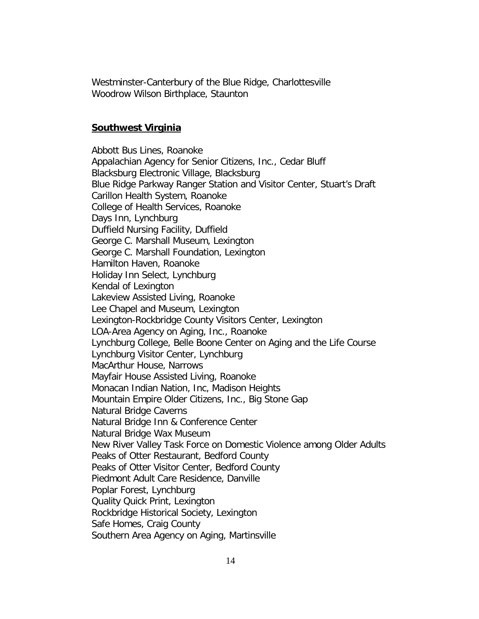Westminster-Canterbury of the Blue Ridge, Charlottesville Woodrow Wilson Birthplace, Staunton

#### **Southwest Virginia**

Southern Area Agency on Aging, Martinsville Abbott Bus Lines, Roanoke Appalachian Agency for Senior Citizens, Inc., Cedar Bluff Blacksburg Electronic Village, Blacksburg Blue Ridge Parkway Ranger Station and Visitor Center, Stuart's Draft Carillon Health System, Roanoke College of Health Services, Roanoke Days Inn, Lynchburg Duffield Nursing Facility, Duffield George C. Marshall Museum, Lexington George C. Marshall Foundation, Lexington Hamilton Haven, Roanoke Holiday Inn Select, Lynchburg Kendal of Lexington Lakeview Assisted Living, Roanoke Lee Chapel and Museum, Lexington Lexington-Rockbridge County Visitors Center, Lexington LOA-Area Agency on Aging, Inc., Roanoke Lynchburg College, Belle Boone Center on Aging and the Life Course Lynchburg Visitor Center, Lynchburg MacArthur House, Narrows Mayfair House Assisted Living, Roanoke Monacan Indian Nation, Inc, Madison Heights Mountain Empire Older Citizens, Inc., Big Stone Gap Natural Bridge Caverns Natural Bridge Inn & Conference Center Natural Bridge Wax Museum New River Valley Task Force on Domestic Violence among Older Adults Peaks of Otter Restaurant, Bedford County Peaks of Otter Visitor Center, Bedford County Piedmont Adult Care Residence, Danville Poplar Forest, Lynchburg Quality Quick Print, Lexington Rockbridge Historical Society, Lexington Safe Homes, Craig County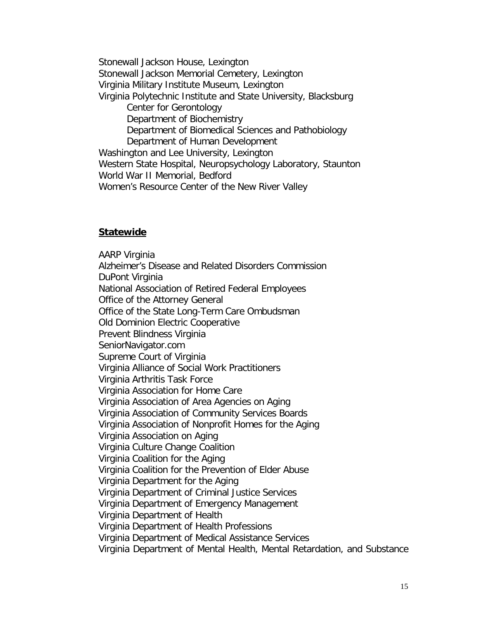Stonewall Jackson House, Lexington Stonewall Jackson Memorial Cemetery, Lexington Virginia Military Institute Museum, Lexington Virginia Polytechnic Institute and State University, Blacksburg Center for Gerontology Department of Biochemistry Department of Biomedical Sciences and Pathobiology Department of Human Development Washington and Lee University, Lexington Western State Hospital, Neuropsychology Laboratory, Staunton World War II Memorial, Bedford Women's Resource Center of the New River Valley

#### **Statewide**

AARP Virginia Alzheimer's Disease and Related Disorders Commission DuPont Virginia National Association of Retired Federal Employees Office of the Attorney General Office of the State Long-Term Care Ombudsman Old Dominion Electric Cooperative Prevent Blindness Virginia SeniorNavigator.com Supreme Court of Virginia Virginia Alliance of Social Work Practitioners Virginia Arthritis Task Force Virginia Association for Home Care Virginia Association of Area Agencies on Aging Virginia Association of Community Services Boards Virginia Association of Nonprofit Homes for the Aging Virginia Association on Aging Virginia Culture Change Coalition Virginia Coalition for the Aging Virginia Coalition for the Prevention of Elder Abuse Virginia Department for the Aging Virginia Department of Criminal Justice Services Virginia Department of Emergency Management Virginia Department of Health Virginia Department of Health Professions Virginia Department of Medical Assistance Services Virginia Department of Mental Health, Mental Retardation, and Substance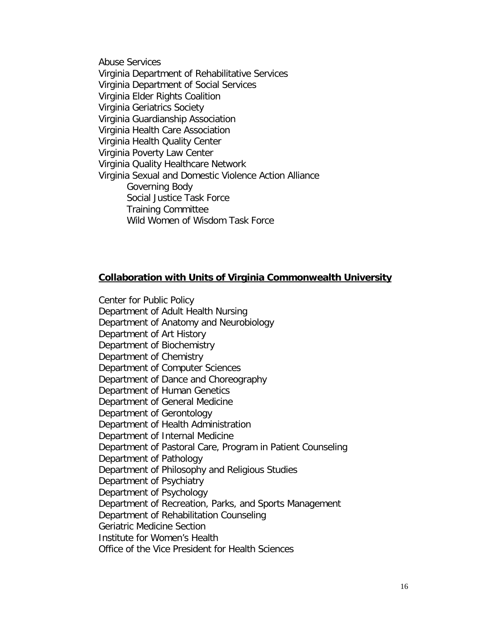Abuse Services Virginia Department of Rehabilitative Services Virginia Department of Social Services Virginia Elder Rights Coalition Virginia Geriatrics Society Virginia Guardianship Association Virginia Health Care Association Virginia Health Quality Center Virginia Poverty Law Center Virginia Quality Healthcare Network Virginia Sexual and Domestic Violence Action Alliance Governing Body Social Justice Task Force Training Committee Wild Women of Wisdom Task Force

#### **Collaboration with Units of Virginia Commonwealth University**

Center for Public Policy Department of Adult Health Nursing Department of Anatomy and Neurobiology Department of Art History Department of Biochemistry Department of Chemistry Department of Computer Sciences Department of Dance and Choreography Department of Human Genetics Department of General Medicine Department of Gerontology Department of Health Administration Department of Internal Medicine Department of Pastoral Care, Program in Patient Counseling Department of Pathology Department of Philosophy and Religious Studies Department of Psychiatry Department of Psychology Department of Recreation, Parks, and Sports Management Department of Rehabilitation Counseling Geriatric Medicine Section Institute for Women's Health Office of the Vice President for Health Sciences